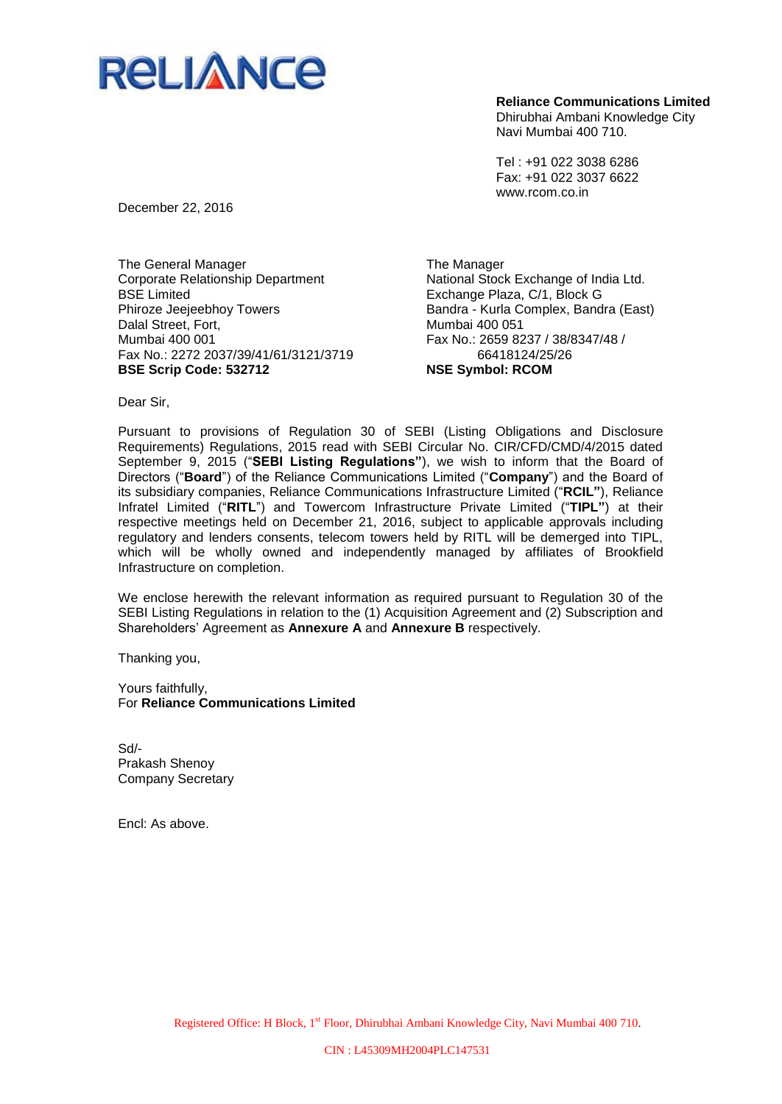

Dhirubhai Ambani Knowledge City Navi Mumbai 400 710.

Tel : +91 022 3038 6286 Fax: +91 022 3037 6622 www.rcom.co.in

December 22, 2016

The General Manager Corporate Relationship Department BSE Limited Phiroze Jeejeebhoy Towers Dalal Street, Fort, Mumbai 400 001 Fax No.: 2272 2037/39/41/61/3121/3719 **BSE Scrip Code: 532712**

The Manager National Stock Exchange of India Ltd. Exchange Plaza, C/1, Block G Bandra - Kurla Complex, Bandra (East) Mumbai 400 051 Fax No.: 2659 8237 / 38/8347/48 / 66418124/25/26 **NSE Symbol: RCOM**

Dear Sir,

Pursuant to provisions of Regulation 30 of SEBI (Listing Obligations and Disclosure Requirements) Regulations, 2015 read with SEBI Circular No. CIR/CFD/CMD/4/2015 dated September 9, 2015 ("**SEBI Listing Regulations"**), we wish to inform that the Board of Directors ("**Board**") of the Reliance Communications Limited ("**Company**") and the Board of its subsidiary companies, Reliance Communications Infrastructure Limited ("**RCIL"**), Reliance Infratel Limited ("**RITL**") and Towercom Infrastructure Private Limited ("**TIPL"**) at their respective meetings held on December 21, 2016, subject to applicable approvals including regulatory and lenders consents, telecom towers held by RITL will be demerged into TIPL, which will be wholly owned and independently managed by affiliates of Brookfield Infrastructure on completion.

We enclose herewith the relevant information as required pursuant to Regulation 30 of the SEBI Listing Regulations in relation to the (1) Acquisition Agreement and (2) Subscription and Shareholders' Agreement as **Annexure A** and **Annexure B** respectively.

Thanking you,

Yours faithfully, For **Reliance Communications Limited**

Sd/- Prakash Shenoy Company Secretary

Encl: As above.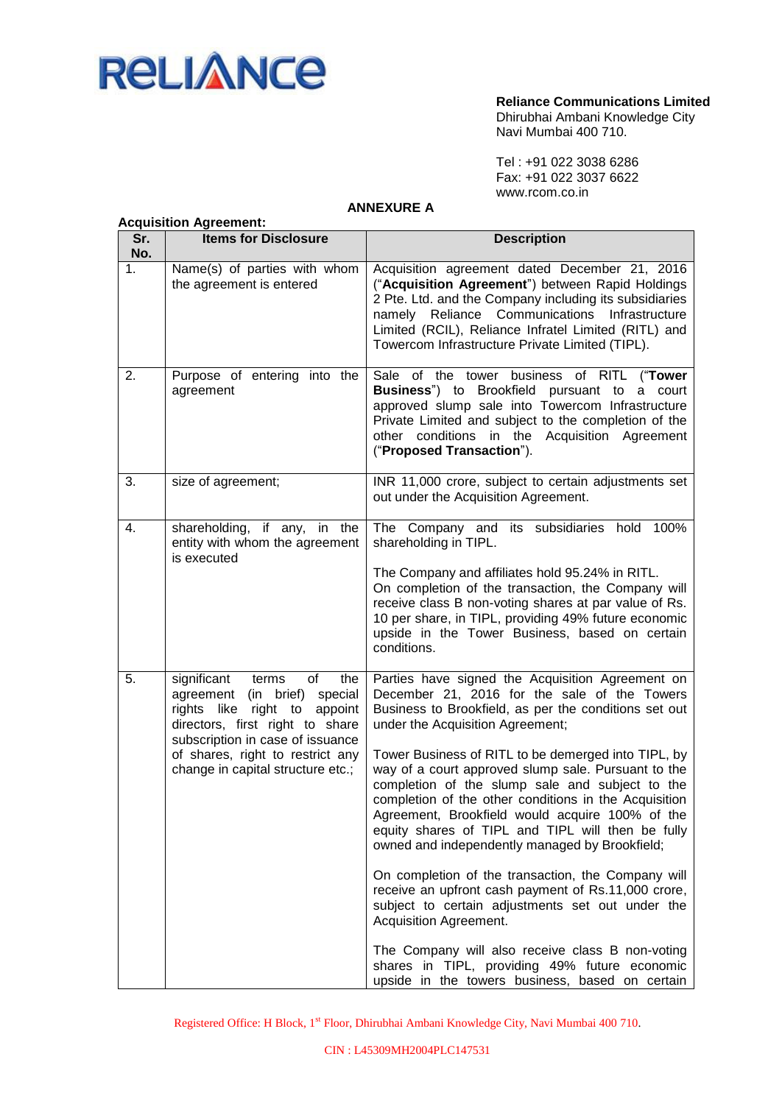

Dhirubhai Ambani Knowledge City Navi Mumbai 400 710.

Tel : +91 022 3038 6286 Fax: +91 022 3037 6622 www.rcom.co.in

### **ANNEXURE A**

|            | <b>Acquisition Agreement:</b>                                                                                                                                                                                                                        |                                                                                                                                                                                                                                                                                                                                                                                                                                                                                                                                                                                                                                                                                                                                                                                                                                                                                                                                      |  |  |  |
|------------|------------------------------------------------------------------------------------------------------------------------------------------------------------------------------------------------------------------------------------------------------|--------------------------------------------------------------------------------------------------------------------------------------------------------------------------------------------------------------------------------------------------------------------------------------------------------------------------------------------------------------------------------------------------------------------------------------------------------------------------------------------------------------------------------------------------------------------------------------------------------------------------------------------------------------------------------------------------------------------------------------------------------------------------------------------------------------------------------------------------------------------------------------------------------------------------------------|--|--|--|
| Sr.<br>No. | <b>Items for Disclosure</b>                                                                                                                                                                                                                          | <b>Description</b>                                                                                                                                                                                                                                                                                                                                                                                                                                                                                                                                                                                                                                                                                                                                                                                                                                                                                                                   |  |  |  |
| 1.         | Name(s) of parties with whom<br>the agreement is entered                                                                                                                                                                                             | Acquisition agreement dated December 21, 2016<br>("Acquisition Agreement") between Rapid Holdings<br>2 Pte. Ltd. and the Company including its subsidiaries<br>namely Reliance Communications Infrastructure<br>Limited (RCIL), Reliance Infratel Limited (RITL) and<br>Towercom Infrastructure Private Limited (TIPL).                                                                                                                                                                                                                                                                                                                                                                                                                                                                                                                                                                                                              |  |  |  |
| 2.         | Purpose of entering into the<br>agreement                                                                                                                                                                                                            | Sale of the tower business of RITL<br>("Tower<br>Business") to Brookfield pursuant to a<br>court<br>approved slump sale into Towercom Infrastructure<br>Private Limited and subject to the completion of the<br>other conditions in the Acquisition Agreement<br>("Proposed Transaction").                                                                                                                                                                                                                                                                                                                                                                                                                                                                                                                                                                                                                                           |  |  |  |
| 3.         | size of agreement;                                                                                                                                                                                                                                   | INR 11,000 crore, subject to certain adjustments set<br>out under the Acquisition Agreement.                                                                                                                                                                                                                                                                                                                                                                                                                                                                                                                                                                                                                                                                                                                                                                                                                                         |  |  |  |
| 4.         | shareholding, if any, in the<br>entity with whom the agreement<br>is executed                                                                                                                                                                        | The Company and its subsidiaries hold 100%<br>shareholding in TIPL.<br>The Company and affiliates hold 95.24% in RITL.<br>On completion of the transaction, the Company will<br>receive class B non-voting shares at par value of Rs.<br>10 per share, in TIPL, providing 49% future economic<br>upside in the Tower Business, based on certain<br>conditions.                                                                                                                                                                                                                                                                                                                                                                                                                                                                                                                                                                       |  |  |  |
| 5.         | significant<br>of<br>the<br>terms<br>agreement<br>(in brief) special<br>rights like right to appoint<br>directors, first right to share<br>subscription in case of issuance<br>of shares, right to restrict any<br>change in capital structure etc.; | Parties have signed the Acquisition Agreement on<br>December 21, 2016 for the sale of the Towers<br>Business to Brookfield, as per the conditions set out<br>under the Acquisition Agreement;<br>Tower Business of RITL to be demerged into TIPL, by<br>way of a court approved slump sale. Pursuant to the<br>completion of the slump sale and subject to the<br>completion of the other conditions in the Acquisition<br>Agreement, Brookfield would acquire 100% of the<br>equity shares of TIPL and TIPL will then be fully<br>owned and independently managed by Brookfield;<br>On completion of the transaction, the Company will<br>receive an upfront cash payment of Rs.11,000 crore,<br>subject to certain adjustments set out under the<br>Acquisition Agreement.<br>The Company will also receive class B non-voting<br>shares in TIPL, providing 49% future economic<br>upside in the towers business, based on certain |  |  |  |

Registered Office: H Block, 1st Floor, Dhirubhai Ambani Knowledge City, Navi Mumbai 400 710.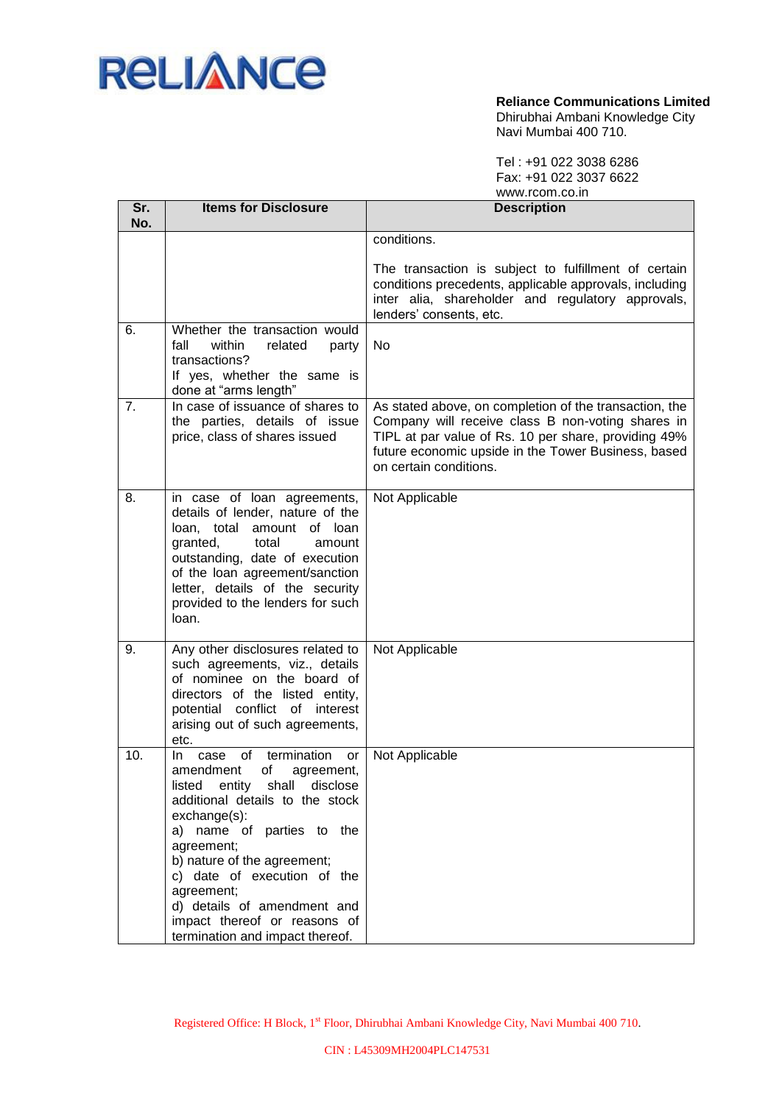

#### **Reliance Communications Limited** Dhirubhai Ambani Knowledge City Navi Mumbai 400 710.

Tel : +91 022 3038 6286 Fax: +91 022 3037 6622

|                | www.rcom.co.in                                                                                                                                                                                                                                                                                                                                                                         |                                                                                                                                                                                                                                                      |
|----------------|----------------------------------------------------------------------------------------------------------------------------------------------------------------------------------------------------------------------------------------------------------------------------------------------------------------------------------------------------------------------------------------|------------------------------------------------------------------------------------------------------------------------------------------------------------------------------------------------------------------------------------------------------|
| Sr.<br>No.     | <b>Items for Disclosure</b>                                                                                                                                                                                                                                                                                                                                                            | <b>Description</b>                                                                                                                                                                                                                                   |
|                |                                                                                                                                                                                                                                                                                                                                                                                        | conditions.<br>The transaction is subject to fulfillment of certain<br>conditions precedents, applicable approvals, including<br>inter alia, shareholder and regulatory approvals,<br>lenders' consents, etc.                                        |
| 6.             | Whether the transaction would<br>fall<br>within<br>related<br>party<br>transactions?<br>If yes, whether the same is<br>done at "arms length"                                                                                                                                                                                                                                           | No                                                                                                                                                                                                                                                   |
| 7 <sub>1</sub> | In case of issuance of shares to<br>the parties, details of issue<br>price, class of shares issued                                                                                                                                                                                                                                                                                     | As stated above, on completion of the transaction, the<br>Company will receive class B non-voting shares in<br>TIPL at par value of Rs. 10 per share, providing 49%<br>future economic upside in the Tower Business, based<br>on certain conditions. |
| 8.             | in case of loan agreements,<br>details of lender, nature of the<br>loan, total<br>amount of loan<br>granted,<br>total<br>amount<br>outstanding, date of execution<br>of the loan agreement/sanction<br>letter, details of the security<br>provided to the lenders for such<br>loan.                                                                                                    | Not Applicable                                                                                                                                                                                                                                       |
| 9.             | Any other disclosures related to<br>such agreements, viz., details<br>of nominee on the board of<br>directors of the listed entity,<br>potential conflict of interest<br>arising out of such agreements,<br>etc.                                                                                                                                                                       | Not Applicable                                                                                                                                                                                                                                       |
| 10.            | termination<br>0f<br>In.<br>case<br>or<br>amendment<br>of<br>agreement,<br>listed entity shall disclose<br>additional details to the stock<br>$exchange(s)$ :<br>a) name of parties to the<br>agreement;<br>b) nature of the agreement;<br>c) date of execution of the<br>agreement;<br>d) details of amendment and<br>impact thereof or reasons of<br>termination and impact thereof. | Not Applicable                                                                                                                                                                                                                                       |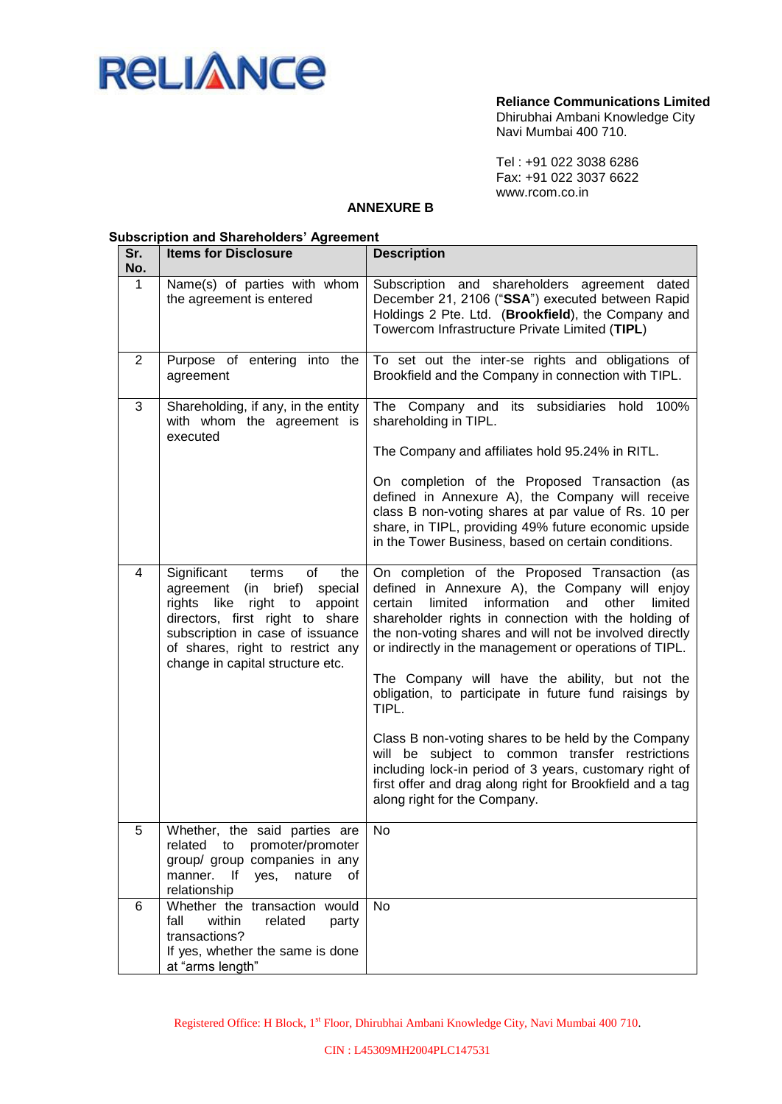

Dhirubhai Ambani Knowledge City Navi Mumbai 400 710.

Tel : +91 022 3038 6286 Fax: +91 022 3037 6622 www.rcom.co.in

### **ANNEXURE B**

### **Subscription and Shareholders' Agreement**

| Sr.<br>No.  | <b>Items for Disclosure</b>                                                                                                                                                                                                                                        | <b>Description</b>                                                                                                                                                                                                                                                                                                                                                                                                                                                                                                                                                                                                                                                                                                                 |
|-------------|--------------------------------------------------------------------------------------------------------------------------------------------------------------------------------------------------------------------------------------------------------------------|------------------------------------------------------------------------------------------------------------------------------------------------------------------------------------------------------------------------------------------------------------------------------------------------------------------------------------------------------------------------------------------------------------------------------------------------------------------------------------------------------------------------------------------------------------------------------------------------------------------------------------------------------------------------------------------------------------------------------------|
| $\mathbf 1$ | Name(s) of parties with whom<br>the agreement is entered                                                                                                                                                                                                           | Subscription and shareholders agreement dated<br>December 21, 2106 ("SSA") executed between Rapid<br>Holdings 2 Pte. Ltd. (Brookfield), the Company and<br>Towercom Infrastructure Private Limited (TIPL)                                                                                                                                                                                                                                                                                                                                                                                                                                                                                                                          |
| 2           | Purpose of entering into the<br>agreement                                                                                                                                                                                                                          | To set out the inter-se rights and obligations of<br>Brookfield and the Company in connection with TIPL.                                                                                                                                                                                                                                                                                                                                                                                                                                                                                                                                                                                                                           |
| 3           | Shareholding, if any, in the entity<br>with whom the agreement is<br>executed                                                                                                                                                                                      | The Company and<br>subsidiaries hold<br>its<br>100%<br>shareholding in TIPL.<br>The Company and affiliates hold 95.24% in RITL.<br>On completion of the Proposed Transaction (as<br>defined in Annexure A), the Company will receive<br>class B non-voting shares at par value of Rs. 10 per<br>share, in TIPL, providing 49% future economic upside<br>in the Tower Business, based on certain conditions.                                                                                                                                                                                                                                                                                                                        |
| 4           | Significant<br>of<br>the<br>terms<br>brief)<br>special<br>agreement<br>(in<br>rights<br>like<br>right to<br>appoint<br>directors, first right to share<br>subscription in case of issuance<br>of shares, right to restrict any<br>change in capital structure etc. | On completion of the Proposed Transaction (as<br>defined in Annexure A), the Company will enjoy<br>limited<br>information<br>certain<br>and<br>other<br>limited<br>shareholder rights in connection with the holding of<br>the non-voting shares and will not be involved directly<br>or indirectly in the management or operations of TIPL.<br>The Company will have the ability, but not the<br>obligation, to participate in future fund raisings by<br>TIPL.<br>Class B non-voting shares to be held by the Company<br>will be subject to common transfer restrictions<br>including lock-in period of 3 years, customary right of<br>first offer and drag along right for Brookfield and a tag<br>along right for the Company. |
| 5           | Whether, the said parties are<br>related to promoter/promoter<br>group/ group companies in any<br>manner. If<br>yes,<br>nature<br>of<br>relationship                                                                                                               | No                                                                                                                                                                                                                                                                                                                                                                                                                                                                                                                                                                                                                                                                                                                                 |
| 6           | Whether the transaction would<br>fall<br>within<br>related<br>party<br>transactions?<br>If yes, whether the same is done<br>at "arms length"                                                                                                                       | No                                                                                                                                                                                                                                                                                                                                                                                                                                                                                                                                                                                                                                                                                                                                 |

Registered Office: H Block, 1st Floor, Dhirubhai Ambani Knowledge City, Navi Mumbai 400 710.